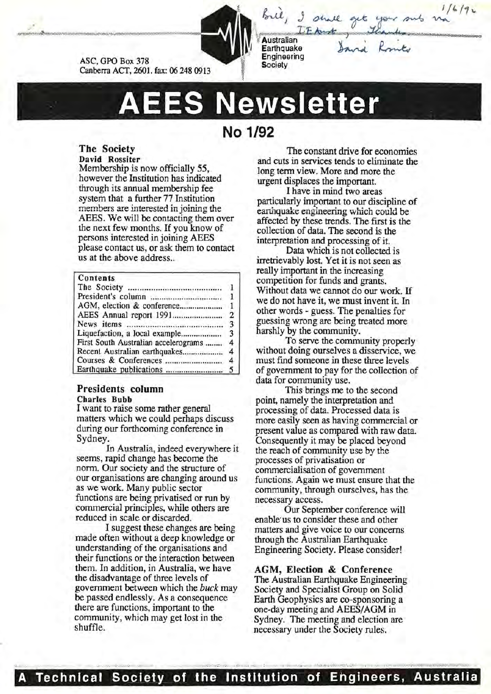ASC, GPO Box 378 Canberra ACT, 2601. fax: 06 248 0913

**Australian Earthquake** Engineering **Society** 

**AEES Newsletter** 

# **No 1/92**

#### The Society David Rossiter

Membership is now officially 55, however the Institution has indicated through its annual membership fee system that a further 77 Institution members are interested in joining the AEES. We will be contacting them over the next few months. If you know of persons interested in joining AEES please contact us, or ask them to contact us at the above address...

### Contents

| First South Australian accelerograms | $\overline{4}$ |
|--------------------------------------|----------------|
|                                      |                |
|                                      |                |
|                                      |                |

## Presidents column

Charles Bubb

I want to raise some rather general matters which we could perhaps discuss during our forthcoming conference in Sydney.

In Australia, indeed everywhere it seems, rapid change has become the norm. Our society and the structure of our organisations are changing around us as we work. Many public sector functions are being privatised or run by commercial principles, while others are reduced in scale or discarded.

I suggest these changes are being made often without a deep knowledge or understanding of the organisations and their functions or the interaction between them. In addition, in Australia, we have the disadvantage of three levels of government between which the *buck* may be passed endlessly. As a consequence there are functions, important to the community, which may get lost in the shuffle.

The constant drive for economies and cuts in services tends to eliminate the long term view. More and more the urgent displaces the important.

I have in mind two areas particularly important to our discipline of earthquake engineering which could be affected by these trends. The first is the collection of data. The second is the interpretation and processing of it.

Data which is not collected is irretrievably lost. Yet it is not seen as really important in the increasing competition for funds and grants. Without data we cannot do our work. If we do not have it, we must invent it. In other words - guess. The penalties for guessing wrong are being treated more harshly by the community.

To serve the community properly without doing ourselves a disservice, we must find someone in these three levels of government to pay for the collection of data for community use.

This brings me to the second point, namely the interpretation and processing of data. Processed data is more easily seen as having commercial or present value as compared with raw data. Consequently it may be placed beyond the reach of community use by the processes of privatisation or commercialisation of government functions. Again we must ensure that the community, through ourselves, has the necessary access.

Our September conference will enable' us to consider these and other matters and give voice to our concerns through the Australian Earthquake Engineering Society. Please consider!

AGM, Election & Conference

The Australian Earthquake Engineering Society and Specialist Group on Solid Earth Geophysics are co-sponsoring a one-day meeting and AEES/AGM in Sydney. The meeting and election are necessary under the Society rules.

• • , .. I .......... , •:•:. • : .-..-:: ....-, .. , ••·';'1.'\.o : o•.,..)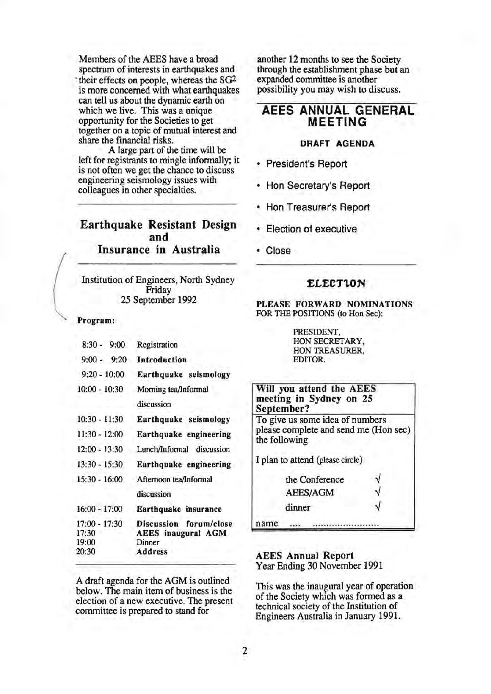Members of the AEES have a broad spectrum of interests in earthquakes and ·their effects on people, whereas the SG2 is more concerned with what earthquakes can tell us about the dynamic earth on which we live. This was a unique opportunity for the Societies to get together on a topic of mutual interest and share the financial risks.

A large part of the time will be left for registrants to mingle informally; it is not often we get the chance to discuss engineering seismology issues with colleagues in other specialties.

## Earthquake Resistant Design and Insurance in Australia

Institution of Engineers, North Sydney Friday 25 September 1992

Program:

| $8:30 - 9:00$                            | Registration                                                             |
|------------------------------------------|--------------------------------------------------------------------------|
| $9:00 - 9:20$                            | Introduction                                                             |
| $9:20 - 10:00$                           | Earthquake seismology                                                    |
| $10:00 - 10:30$                          | Moming tea/Informal<br>discussion                                        |
| $10:30 - 11:30$                          | Earthquake seismology                                                    |
| $11:30 - 12:00$                          | Earthquake engineering                                                   |
| $12:00 - 13:30$                          | Lunch/Informal discussion                                                |
| $13:30 - 15:30$                          | Earthquake engineering                                                   |
| 15:30 - 16:00                            | Afternoon tea/Informal                                                   |
|                                          | discussion                                                               |
| $16:00 - 17:00$                          | Earthquake insurance                                                     |
| 17:00 - 17:30<br>17:30<br>19:00<br>20:30 | Discussion forum/close<br><b>AEES</b> inaugural AGM<br>Dinner<br>Address |

A draft agenda for the AGM is outlined below. The main item of business is the election of a new executive. The present committee is prepared to stand for

another 12 months to see the Society through the establishment phase but an expanded committee is another possibility you may wish to discuss.

## AEES ANNUAL GENERAL MEETING

## DRAFT AGENDA

- President's Report
- Hon Secretary's Report
- Hon Treasurer's Report
- Election of executive
- **Close**

## **ELECTION**

PLEASE FORWARD NOMINATIONS FOR THE POSITIONS (to Hon Sec):

> PRESIDENT, HON SECRETARY, HON TREASURER, EDITOR.

| Will you attend the AEES<br>meeting in Sydney on 25<br>September?                         |  |
|-------------------------------------------------------------------------------------------|--|
| To give us some idea of numbers<br>please complete and send me (Hon sec)<br>the following |  |
| I plan to attend (please circle)                                                          |  |
| the Conference                                                                            |  |
| <b>AEES/AGM</b>                                                                           |  |
| dinner                                                                                    |  |
| name                                                                                      |  |

## AEES Annual Report Year Ending 30 November 1991

This was the inaugural year of operation of the Society which was formed as a technical society of the Institution of Engineers Australia in January 1991.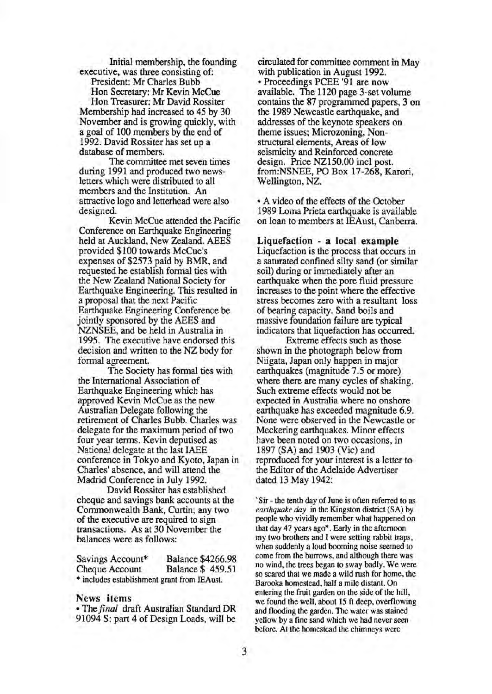Initial membership, the founding executive, was three consisting of:

President: Mr Charles Bubb

Hon Secretary: Mr Kevin McCue Hon Treasurer: Mr David Rossiter Membership had increased to 45 by 30 November and is growing quickly, with a goal of 100 members by the end of 1992. David Rossiter has set up a database of members.

The committee met seven times during 1991 and produced two newsletters which were distributed to all members and the Institution. An attractive logo and letterhead were also designed.

Kevin McCue attended the Pacific Conference on Earthquake Engineering held at Auckland, New Zealand. AEES provided \$100 towards McCue's expenses of \$2573 paid by BMR, and requested he establish formal ties with the New Zealand National Society for Earthquake Engineering. This resulted in a proposal that the next Pacific Earthquake Engineering Conference be jointly sponsored by the AEES and NZNSEE, and be held in Australia in 1995. The executive have endorsed this decision and written to the NZ body for formal agreement.

The Society has formal ties with the International Association of Earthquake Engineering which has approved Kevin McCue as the new Australian Delegate following the retirement of Charles Bubb. Charles was delegate for the maximum period of two four year terms. Kevin deputised as National delegate at the last IAEE conference in Tokyo and Kyoto, Japan in Charles' absence, and will attend the Madrid Conference in July 1992.

David Rossiter has established cheque and savings bank accounts at the Commonwealth Bank, Curtin; any two of the executive are required to sign transactions. As at 30 November the balances were as follows:

| Savings Account*                            | <b>Balance \$4266.98</b> |
|---------------------------------------------|--------------------------|
| Cheque Account                              | <b>Balance \$459.51</b>  |
| * includes establishment grant from IEAust. |                          |

#### News items

• The *final* draft Australian Standard DR 91094 S: part 4 of Design Loads, will be

circulated for committee comment in May with publication in August 1992. • Proceedings PCEE '91 are now available. The 1120 page 3-set volume contains the 87 programmed papers, 3 on the 1989 Newcastle earthquake, and addresses of the keynote speakers on theme issues; Microzoning, Nonstructural elements, Areas of low seismicity and Reinforced concrete design. Price NZ150.00 incl post. from:NSNEE, PO Box 17-268, Karori, Wellington, NZ.

• A video of the effects of the October 1989 Loma Prieta earthquake is available on loan to members at IEAust, Canberra.

Liquefaction - a local example Liquefaction is the process that occurs in a saturated confined silty sand (or similar soil) during or immediately after an earthquake when the pore fluid pressure increases to the point where the effective stress becomes zero with a resultant loss of bearing capacity. Sand boils and massive foundation failure are typical indicators that liquefaction has occurred.

Extreme effects such as those shown in the photograph below from Niigata, Japan only happen in major earthquakes (magnitude 7.5 or more) where there are many cycles of shaking. Such extreme effects would not be expected in Australia where no onshore earthquake has exceeded magnitude 6.9. None were observed in the Newcastle or Meckering earthquakes. Minor effects have been noted on two occasions, in 1897 (SA) and 1903 (Vic) and reproduced for your interest is a letter to the Editor of the Adelaide Advertiser dated 13 May 1942:

'Sir- the tenth day of June is often referred to as *earthquake day* in the Kingston district (SA) by people who vividly remember what happened on that day 47 years ago\*. Early in the afternoon my two brothers and I were setting rabbit traps, when suddenly a loud booming noise seemed to come from the burrows, and although there was no wind, the trees began to sway badly. We were so scared that we made a wild rush for home, the Barooka homestead, half a mile distant. On entering the fruit garden on the side of the hill, we found the well, about 15 ft deep, overflowing and flooding the garden. The water was stained yellow by a fine sand which we had never seen before. At the homestead the chimneys were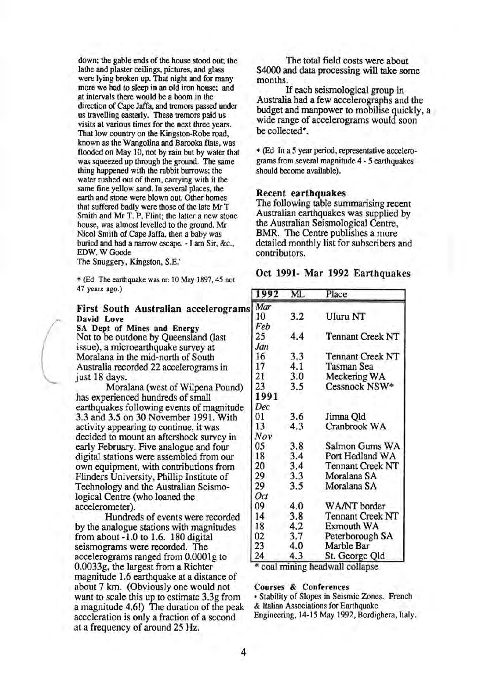down; the gable ends of the house stood out; the lathe and plaster ceilings, pictures, and glass were lying broken up. That night and for many more we had to sleep in an old iron house; and at intervals there would be a boom in the direction of Cape Jaffa, and tremors passed under us travelling easterly. These tremors paid us visits at various times for the next three years. That low country on the Kingston-Robe road, known as the Wangolina and Barooka flats, was flooded on May 10, not by rain but by water that was squeezed up through the ground. The same thing happened with the rabbit burrows; the water rushed out of them, carrying with it the same fine yellow sand. In several places, the earth and stone were blown out. Other homes that suffered badly were those of the late Mr T Smith and Mr T. P. Flint; the latter a new stone house, was almost levelled to the ground. Mr Nicol Smith of Cape Jaffa, then a baby was buried and had a narrow escape. - I am Sir, &c., EDW. WGoode

The Snuggery, Kingston, S.E.'

\* (Ed The earthquake was on 10 May 1897, 45 not 47 years ago.)

## First South Australian accelerograms David Love

SA Dept of Mines and Energy Not to be outdone by Queensland (last issue), a microearthquake survey at Moralana in the mid-north of South Australia recorded 22 accelerograms in just 18 days.

Moralana (west of Wilpena Pound) has experienced hundreds of small earthquakes following events of magnitude 3.3 and 3.5 on 30 November 1991. With activity appearing to continue, it was decided to mount an aftershock survey in early February. Five analogue and four digital stations were assembled from our own equipment, with contributions from Flinders University, Phillip Institute of Technology and the Australian Seismological Centre (who loaned the accelerometer).

Hundreds of events were recorded by the analogue stations with magnitudes from about -1.0 to 1.6. 180 digital seismograms were recorded. The accelerograms ranged from O.OOOlg to 0.0033g, the largest from a Richter magnitude 1.6 earthquake at a distance of about 7 km. (Obviously one would not want to scale this up to estimate 3.3g from a magnitude 4.6!) The duration of the peak acceleration is only a fraction of a second at a frequency of around 25Hz.

The total field costs were about \$4000 and data processing will take some months.

If each seismological group in Australia had a few accelerographs and the budget and manpower to mobilise quickly, a wide range of accelerograms would soon be collected\*.

\* (Ed In a *5* year period, representative accelerograms from several magnitude 4 - *5* earthquakes should become available).

#### Recent earthquakes

The following table summarising recent Australian earthquakes was supplied by the Australian Seismological Centre, BMR. The Centre publishes a more detailed monthly list for subscribers and contributors.

#### Oct 1991- Mar 1992 Earthquakes

| 1992 | ML  | Place                   |
|------|-----|-------------------------|
| Mar  |     |                         |
| 10   | 3.2 | <b>Uluru NT</b>         |
| Feb  |     |                         |
| 25   | 4.4 | <b>Tennant Creek NT</b> |
| Jan  |     |                         |
| 16   | 3.3 | <b>Tennant Creek NT</b> |
| 17   | 4.1 | Tasman Sea              |
| 21   | 3.0 | Meckering WA            |
| 23   | 3.5 | Cessnock NSW*           |
| 1991 |     |                         |
| Dec  |     |                         |
| 01   | 3.6 | Jimna Qld               |
| 13   | 4.3 | Cranbrook WA            |
| Nov  |     |                         |
| 05   | 3.8 | Salmon Gums WA          |
| 18   | 3.4 | Port Hedland WA         |
| 20   | 3.4 | <b>Tennant Creek NT</b> |
| 29   | 3.3 | Moralana SA             |
| 29   | 3.5 | Moralana SA             |
| Oct  |     |                         |
| 09   | 4.0 | WA/NT border            |
| 14   | 3.8 | <b>Tennant Creek NT</b> |
| 18   | 4.2 | Exmouth WA              |
| 02   | 3.7 | Peterborough SA         |
| 23   | 4.0 | Marble Bar              |
| 24   | 4.3 | St. George Qld          |

\* coal mining headwall collapse.

#### Courses & Conferences

• Stability of Slopes in Seismic Zones. French & Italian Associations for Earthquake Engineering, 14-15 May 1992, Bordighera, Italy.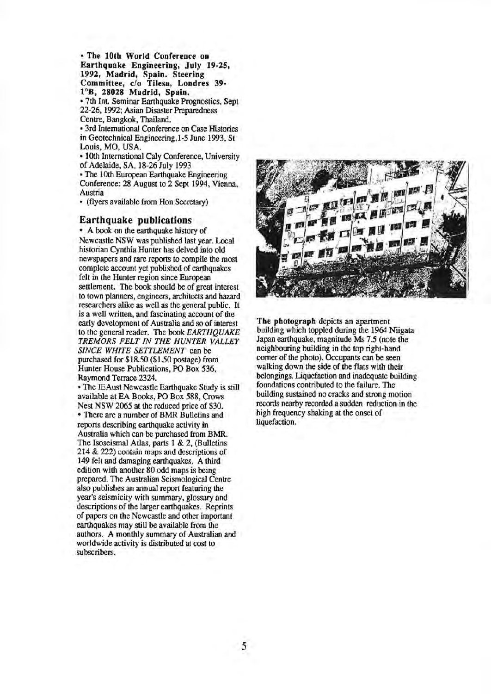• The lOth World Conference on Earthquake Engineering, July 19-25, 1992, Madrid, Spain. Steering Committee, c/o Tilesa, Londres 39- 1°B, 28028 Madrid, Spain. • 7th Int. Seminar Earthquake Prognostics, Sept 22-26, 1992; Asian Disaster Preparedness

Centre, Bangkok, Thailand.

• 3rd International Conference on Case Histories in Geotechnical Engineering,l-5 June 1993, St Louis, MO, USA.

• lOth International Caly Conference, University of Adelaide, SA, 18-26 July 1993

• The lOth European Earthquake Engineering Conference: 28 August to 2 Sept 1994, Vienna, Austria

• (flyers available from Hon Secretary)

#### Earthquake publications

• A book on the earthquake history of Newcastle NSW was published last year. Local historian Cynthia Hunter has delved into old newspapers and rare reports to compile the most complete account yet published of earthquakes felt in the Hunter region since European settlement. The book should be of great interest to town planners, engineers, architects and hazard researchers alike as well as the general public. It is a well written, and fascinating account of the early development of Australia and so of interest to the general reader. The book *EARTHQUAKE TREMORS FELT IN THE HUNTER VALLEY SINCE WHITE SETTLEMENT* can be purchased for \$18.50 (\$1.50 postage) from Hunter House Publications, PO Box 536, Raymond Terrace 2324.

• The IEAust Newcastle Earthquake Study is still available at EA Books, PO Box 588, Crows Nest NSW 2065 at the reduced price of \$30. • There are a number of BMR Bulletins and reports describing earthquake activity in Australia which can be purchased from BMR. The Isoseismal Atlas, parts I & 2, (Bulletins 214 & 222) contain maps and descriptions of 149 felt and damaging earthquakes. A third edition with another 80 odd maps is being prepared. The Australian Seismological Centre also publishes an annual report featuring the year's seismicity with summary, glossary and descriptions of the larger earthquakes. Reprints of papers on the Newcastle and other important earthquakes may still be available from the authors. A monthly summary of Australian and worldwide activity is distributed at cost to subscribers.



The photograph depicts an apartment building which toppled during the 1964 Niigata Japan earthquake, magnitude Ms 7.5 (note the neighbouring building in the top right-hand comer of the photo). Occupants can be seen walking down the side of the flats with their belongings. Liquefaction and inadequate building foundations contributed to the failure. The building sustained no cracks and strong motion records nearby recorded a sudden reduction in the high frequency shaking at the onset of liquefaction.